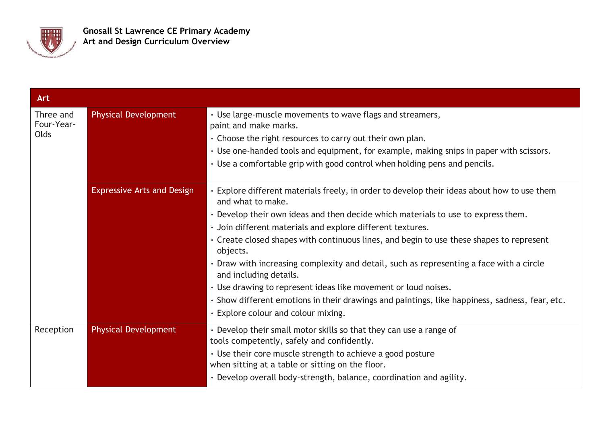

| Art                             |                                   |                                                                                                                                                                                                                                                                                                                                                                                                                                                                                                                                                                                                                                                                                                             |
|---------------------------------|-----------------------------------|-------------------------------------------------------------------------------------------------------------------------------------------------------------------------------------------------------------------------------------------------------------------------------------------------------------------------------------------------------------------------------------------------------------------------------------------------------------------------------------------------------------------------------------------------------------------------------------------------------------------------------------------------------------------------------------------------------------|
| Three and<br>Four-Year-<br>Olds | <b>Physical Development</b>       | • Use large-muscle movements to wave flags and streamers,<br>paint and make marks.<br>$\cdot$ Choose the right resources to carry out their own plan.<br>• Use one-handed tools and equipment, for example, making snips in paper with scissors.<br>. Use a comfortable grip with good control when holding pens and pencils.                                                                                                                                                                                                                                                                                                                                                                               |
|                                 | <b>Expressive Arts and Design</b> | • Explore different materials freely, in order to develop their ideas about how to use them<br>and what to make.<br>. Develop their own ideas and then decide which materials to use to express them.<br>· Join different materials and explore different textures.<br>• Create closed shapes with continuous lines, and begin to use these shapes to represent<br>objects.<br>• Draw with increasing complexity and detail, such as representing a face with a circle<br>and including details.<br>• Use drawing to represent ideas like movement or loud noises.<br>· Show different emotions in their drawings and paintings, like happiness, sadness, fear, etc.<br>· Explore colour and colour mixing. |
| Reception                       | <b>Physical Development</b>       | • Develop their small motor skills so that they can use a range of<br>tools competently, safely and confidently.<br>• Use their core muscle strength to achieve a good posture<br>when sitting at a table or sitting on the floor.<br>· Develop overall body-strength, balance, coordination and agility.                                                                                                                                                                                                                                                                                                                                                                                                   |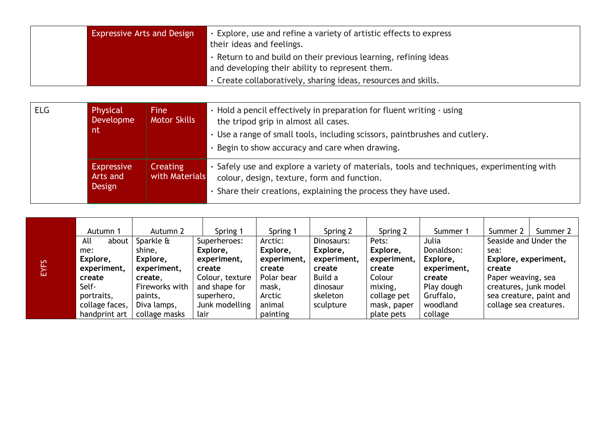| <b>Expressive Arts and Design</b>               | Explore, use and refine a variety of artistic effects to express<br>their ideas and feelings. |
|-------------------------------------------------|-----------------------------------------------------------------------------------------------|
|                                                 | . Return to and build on their previous learning, refining ideas                              |
| and developing their ability to represent them. |                                                                                               |
|                                                 | · Create collaboratively, sharing ideas, resources and skills.                                |

| <b>ELG</b> | Physical<br>Developme<br>nt             | <b>Fine</b><br><b>Motor Skills</b> | • Hold a pencil effectively in preparation for fluent writing - using<br>the tripod grip in almost all cases.<br>• Use a range of small tools, including scissors, paintbrushes and cutlery.<br>Begin to show accuracy and care when drawing. |
|------------|-----------------------------------------|------------------------------------|-----------------------------------------------------------------------------------------------------------------------------------------------------------------------------------------------------------------------------------------------|
|            | <b>Expressive</b><br>Arts and<br>Design | <b>Creating</b><br>with Materials  | • Safely use and explore a variety of materials, tools and techniques, experimenting with<br>colour, design, texture, form and function.<br>· Share their creations, explaining the process they have used.                                   |

|         | Autumn 1       | Autumn 2       | Spring 1        | Spring 1    | Spring 2    | Spring 2    | Summer 1    | Summer 2                | Summer 2 |
|---------|----------------|----------------|-----------------|-------------|-------------|-------------|-------------|-------------------------|----------|
|         | All<br>about   | Sparkle &      | Superheroes:    | Arctic:     | Dinosaurs:  | Pets:       | Julia       | Seaside and Under the   |          |
|         | me:            | shine,         | Explore,        | Explore,    | Explore,    | Explore,    | Donaldson:  | sea:                    |          |
|         | Explore,       | Explore,       | experiment,     | experiment, | experiment, | experiment, | Explore,    | Explore, experiment,    |          |
| ĮΞ<br>旨 | experiment,    | experiment,    | create          | create      | create      | create      | experiment, | create                  |          |
|         | create         | create.        | Colour, texture | Polar bear  | Build a     | Colour      | create      | Paper weaving, sea      |          |
|         | Self-          | Fireworks with | and shape for   | mask,       | dinosaur    | mixing,     | Play dough  | creatures, junk model   |          |
|         | portraits,     | paints,        | superhero,      | Arctic      | skeleton    | collage pet | Gruffalo,   | sea creature, paint and |          |
|         | collage faces, | Diva lamps,    | Junk modelling  | animal      | sculpture   | mask, paper | woodland    | collage sea creatures.  |          |
|         | handprint art  | collage masks  | lair            | painting    |             | plate pets  | collage     |                         |          |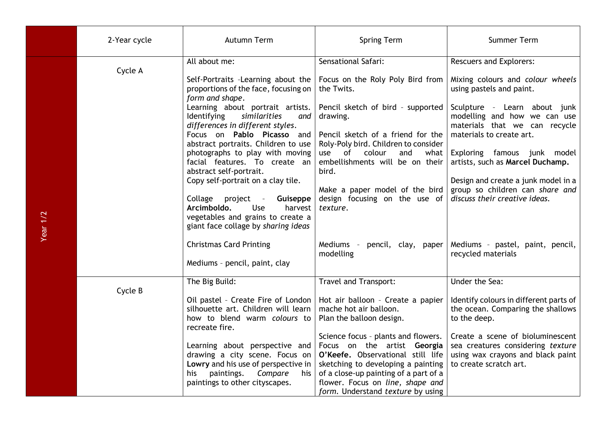|            | 2-Year cycle | Autumn Term                                                                                                                                                                                                                                                                                                                                                                                                                                                                                                                                                                                                                   | <b>Spring Term</b>                                                                                                                                                                                                                                                                                                                                                                                       | Summer Term                                                                                                                                                                                                                                                                                                                                                                                                                                   |
|------------|--------------|-------------------------------------------------------------------------------------------------------------------------------------------------------------------------------------------------------------------------------------------------------------------------------------------------------------------------------------------------------------------------------------------------------------------------------------------------------------------------------------------------------------------------------------------------------------------------------------------------------------------------------|----------------------------------------------------------------------------------------------------------------------------------------------------------------------------------------------------------------------------------------------------------------------------------------------------------------------------------------------------------------------------------------------------------|-----------------------------------------------------------------------------------------------------------------------------------------------------------------------------------------------------------------------------------------------------------------------------------------------------------------------------------------------------------------------------------------------------------------------------------------------|
| Year $1/2$ | Cycle A      | All about me:<br>Self-Portraits -Learning about the<br>proportions of the face, focusing on<br>form and shape.<br>Learning about portrait artists.<br>similarities<br><b>Identifying</b><br>and<br>differences in different styles.<br>Focus on Pablo Picasso and<br>abstract portraits. Children to use<br>photographs to play with moving<br>facial features. To create an<br>abstract self-portrait.<br>Copy self-portrait on a clay tile.<br>Collage project -<br>Guiseppe<br>Arcimboldo.<br>Use<br>harvest<br>vegetables and grains to create a<br>giant face collage by sharing ideas<br><b>Christmas Card Printing</b> | Sensational Safari:<br>Focus on the Roly Poly Bird from<br>the Twits.<br>Pencil sketch of bird - supported<br>drawing.<br>Pencil sketch of a friend for the<br>Roly-Poly bird. Children to consider<br>use<br>of<br>colour<br>and<br>what<br>embellishments will be on their<br>bird.<br>Make a paper model of the bird<br>design focusing on the use of<br>texture.<br>Mediums -<br>pencil, clay, paper | <b>Rescuers and Explorers:</b><br>Mixing colours and colour wheels<br>using pastels and paint.<br>Sculpture - Learn about junk<br>modelling and how we can use<br>materials that we can recycle<br>materials to create art.<br>Exploring famous junk model<br>artists, such as Marcel Duchamp.<br>Design and create a junk model in a<br>group so children can share and<br>discuss their creative ideas.<br>Mediums - pastel, paint, pencil, |
|            |              | Mediums - pencil, paint, clay                                                                                                                                                                                                                                                                                                                                                                                                                                                                                                                                                                                                 | modelling                                                                                                                                                                                                                                                                                                                                                                                                | recycled materials                                                                                                                                                                                                                                                                                                                                                                                                                            |
|            | Cycle B      | The Big Build:<br>Oil pastel - Create Fire of London<br>silhouette art. Children will learn<br>how to blend warm colours to<br>recreate fire.<br>Learning about perspective and<br>drawing a city scene. Focus on<br>Lowry and his use of perspective in<br>paintings.<br>Compare<br>his<br>his<br>paintings to other cityscapes.                                                                                                                                                                                                                                                                                             | Travel and Transport:<br>Hot air balloon - Create a papier<br>mache hot air balloon.<br>Plan the balloon design.<br>Science focus - plants and flowers.<br>Focus on the artist Georgia<br>O'Keefe. Observational still life<br>sketching to developing a painting<br>of a close-up painting of a part of a<br>flower. Focus on line, shape and<br>form. Understand texture by using                      | Under the Sea:<br>Identify colours in different parts of<br>the ocean. Comparing the shallows<br>to the deep.<br>Create a scene of bioluminescent<br>sea creatures considering texture<br>using wax crayons and black paint<br>to create scratch art.                                                                                                                                                                                         |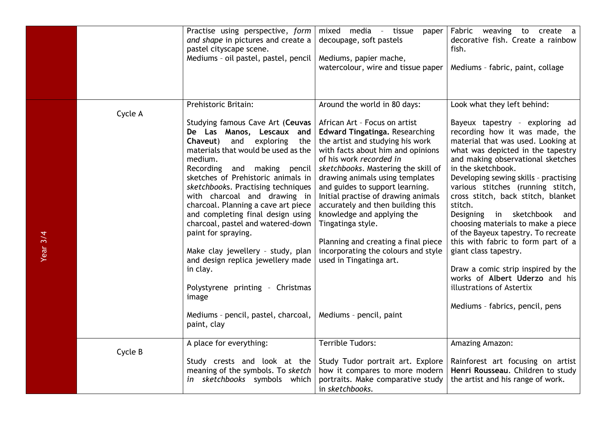|          |         | Practise using perspective, form<br>and shape in pictures and create a<br>pastel cityscape scene.<br>Mediums - oil pastel, pastel, pencil                                                                                                                                                                                                                                                                                                                                                                                                                                                                                                               | mixed media - tissue<br>paper<br>decoupage, soft pastels<br>Mediums, papier mache,<br>watercolour, wire and tissue paper                                                                                                                                                                                                                                                                                                                                                                                                                                                                   | Fabric weaving to create a<br>decorative fish. Create a rainbow<br>fish.<br>Mediums - fabric, paint, collage                                                                                                                                                                                                                                                                                                                                                                                                                                                                                                                                                                               |
|----------|---------|---------------------------------------------------------------------------------------------------------------------------------------------------------------------------------------------------------------------------------------------------------------------------------------------------------------------------------------------------------------------------------------------------------------------------------------------------------------------------------------------------------------------------------------------------------------------------------------------------------------------------------------------------------|--------------------------------------------------------------------------------------------------------------------------------------------------------------------------------------------------------------------------------------------------------------------------------------------------------------------------------------------------------------------------------------------------------------------------------------------------------------------------------------------------------------------------------------------------------------------------------------------|--------------------------------------------------------------------------------------------------------------------------------------------------------------------------------------------------------------------------------------------------------------------------------------------------------------------------------------------------------------------------------------------------------------------------------------------------------------------------------------------------------------------------------------------------------------------------------------------------------------------------------------------------------------------------------------------|
| Year 3/4 | Cycle A | Prehistoric Britain:<br>Studying famous Cave Art (Ceuvas<br>De Las Manos, Lescaux and<br>and<br>exploring the<br>Chaveut)<br>materials that would be used as the<br>medium.<br>Recording and making pencil<br>sketches of Prehistoric animals in<br>sketchbooks. Practising techniques<br>with charcoal and drawing in<br>charcoal. Planning a cave art piece<br>and completing final design using<br>charcoal, pastel and watered-down<br>paint for spraying.<br>Make clay jewellery - study, plan<br>and design replica jewellery made<br>in clay.<br>Polystyrene printing - Christmas<br>image<br>Mediums - pencil, pastel, charcoal,<br>paint, clay | Around the world in 80 days:<br>African Art - Focus on artist<br><b>Edward Tingatinga. Researching</b><br>the artist and studying his work<br>with facts about him and opinions<br>of his work recorded in<br>sketchbooks. Mastering the skill of<br>drawing animals using templates<br>and guides to support learning.<br>Initial practise of drawing animals<br>accurately and then building this<br>knowledge and applying the<br>Tingatinga style.<br>Planning and creating a final piece<br>incorporating the colours and style<br>used in Tingatinga art.<br>Mediums - pencil, paint | Look what they left behind:<br>Bayeux tapestry - exploring ad<br>recording how it was made, the<br>material that was used. Looking at<br>what was depicted in the tapestry<br>and making observational sketches<br>in the sketchbook.<br>Developing sewing skills - practising<br>various stitches (running stitch,<br>cross stitch, back stitch, blanket<br>stitch.<br>Designing in sketchbook<br>and<br>choosing materials to make a piece<br>of the Bayeux tapestry. To recreate<br>this with fabric to form part of a<br>giant class tapestry.<br>Draw a comic strip inspired by the<br>works of Albert Uderzo and his<br>illustrations of Astertix<br>Mediums - fabrics, pencil, pens |
|          | Cycle B | A place for everything:<br>Study crests and look at the<br>meaning of the symbols. To sketch<br>in sketchbooks symbols which                                                                                                                                                                                                                                                                                                                                                                                                                                                                                                                            | Terrible Tudors:<br>Study Tudor portrait art. Explore<br>how it compares to more modern<br>portraits. Make comparative study<br>in sketchbooks.                                                                                                                                                                                                                                                                                                                                                                                                                                            | Amazing Amazon:<br>Rainforest art focusing on artist<br>Henri Rousseau. Children to study<br>the artist and his range of work.                                                                                                                                                                                                                                                                                                                                                                                                                                                                                                                                                             |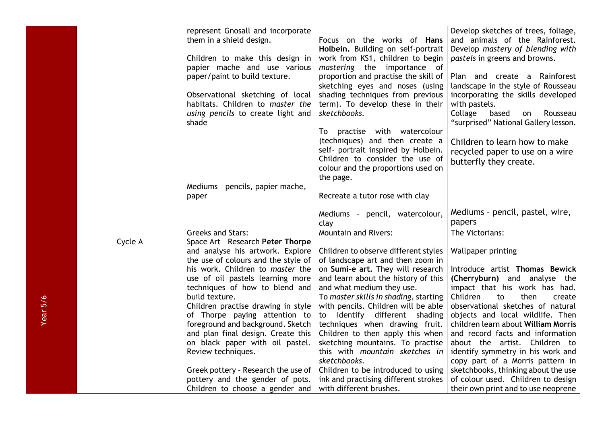|          |                                 | represent Gnosall and incorporate   |                                       | Develop sketches of trees, foliage,  |
|----------|---------------------------------|-------------------------------------|---------------------------------------|--------------------------------------|
|          |                                 | them in a shield design.            | Focus on the works of Hans            | and animals of the Rainforest.       |
|          |                                 |                                     | Holbein. Building on self-portrait    | Develop mastery of blending with     |
|          | Children to make this design in |                                     | work from KS1, children to begin      | pastels in greens and browns.        |
|          |                                 | papier mache and use various        | mastering the importance of           |                                      |
|          |                                 | paper/paint to build texture.       | proportion and practise the skill of  | Plan and create a Rainforest         |
|          |                                 |                                     | sketching eyes and noses (using       | landscape in the style of Rousseau   |
|          |                                 | Observational sketching of local    | shading techniques from previous      | incorporating the skills developed   |
|          |                                 | habitats. Children to master the    | term). To develop these in their      | with pastels.                        |
|          |                                 | using pencils to create light and   | sketchbooks.                          | Collage<br>based<br>Rousseau<br>on   |
|          |                                 | shade                               |                                       | "surprised" National Gallery lesson. |
|          |                                 |                                     | To practise with watercolour          |                                      |
|          |                                 |                                     | (techniques) and then create a        | Children to learn how to make        |
|          |                                 |                                     | self- portrait inspired by Holbein.   | recycled paper to use on a wire      |
|          |                                 |                                     | Children to consider the use of       | butterfly they create.               |
|          |                                 |                                     | colour and the proportions used on    |                                      |
|          |                                 |                                     | the page.                             |                                      |
|          |                                 | Mediums - pencils, papier mache,    |                                       |                                      |
|          |                                 | paper                               | Recreate a tutor rose with clay       |                                      |
|          |                                 |                                     | Mediums - pencil, watercolour,        | Mediums - pencil, pastel, wire,      |
|          |                                 |                                     | clay                                  | papers                               |
|          |                                 | <b>Greeks and Stars:</b>            | <b>Mountain and Rivers:</b>           | The Victorians:                      |
|          | Cycle A                         | Space Art - Research Peter Thorpe   |                                       |                                      |
|          |                                 | and analyse his artwork. Explore    | Children to observe different styles  | Wallpaper printing                   |
|          |                                 | the use of colours and the style of | of landscape art and then zoom in     |                                      |
|          |                                 | his work. Children to master the    | on Sumi-e art. They will research     | Introduce artist Thomas Bewick       |
|          |                                 | use of oil pastels learning more    | and learn about the history of this   | (Cherryburn) and analyse the         |
|          |                                 | techniques of how to blend and      | and what medium they use.             | impact that his work has had.        |
|          |                                 | build texture.                      | To master skills in shading, starting | Children<br>to<br>then<br>create     |
| Year 5/6 |                                 | Children practise drawing in style  | with pencils. Children will be able   | observational sketches of natural    |
|          |                                 | of Thorpe paying attention to       | to identify different shading         | objects and local wildlife. Then     |
|          |                                 | foreground and background. Sketch   | techniques when drawing fruit.        | children learn about William Morris  |
|          |                                 | and plan final design. Create this  | Children to then apply this when      | and record facts and information     |
|          |                                 | on black paper with oil pastel.     | sketching mountains. To practise      | about the artist. Children to        |
|          |                                 | Review techniques.                  | this with mountain sketches in        | identify symmetry in his work and    |
|          |                                 |                                     | sketchbooks.                          | copy part of a Morris pattern in     |
|          |                                 | Greek pottery - Research the use of | Children to be introduced to using    | sketchbooks, thinking about the use  |
|          |                                 | pottery and the gender of pots.     | ink and practising different strokes  | of colour used. Children to design   |
|          |                                 | Children to choose a gender and     | with different brushes.               | their own print and to use neoprene  |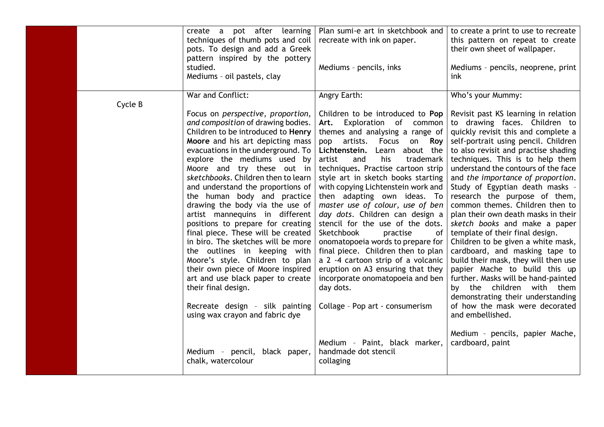|         | create a pot after<br>learning<br>techniques of thumb pots and coil<br>pots. To design and add a Greek<br>pattern inspired by the pottery<br>studied.<br>Mediums - oil pastels, clay                                                                                                                                                                                                                                                                                                                                                                                                                                                                                                                                                                                                                                 | Plan sumi-e art in sketchbook and<br>recreate with ink on paper.<br>Mediums - pencils, inks                                                                                                                                                                                                                                                                                                                                                                                                                                                                                                                                                                                                                                                                                                    | to create a print to use to recreate<br>this pattern on repeat to create<br>their own sheet of wallpaper.<br>Mediums - pencils, neoprene, print<br>ink                                                                                                                                                                                                                                                                                                                                                                                                                                                                                                                                                                                                                                                                                                                                                                     |
|---------|----------------------------------------------------------------------------------------------------------------------------------------------------------------------------------------------------------------------------------------------------------------------------------------------------------------------------------------------------------------------------------------------------------------------------------------------------------------------------------------------------------------------------------------------------------------------------------------------------------------------------------------------------------------------------------------------------------------------------------------------------------------------------------------------------------------------|------------------------------------------------------------------------------------------------------------------------------------------------------------------------------------------------------------------------------------------------------------------------------------------------------------------------------------------------------------------------------------------------------------------------------------------------------------------------------------------------------------------------------------------------------------------------------------------------------------------------------------------------------------------------------------------------------------------------------------------------------------------------------------------------|----------------------------------------------------------------------------------------------------------------------------------------------------------------------------------------------------------------------------------------------------------------------------------------------------------------------------------------------------------------------------------------------------------------------------------------------------------------------------------------------------------------------------------------------------------------------------------------------------------------------------------------------------------------------------------------------------------------------------------------------------------------------------------------------------------------------------------------------------------------------------------------------------------------------------|
| Cycle B | War and Conflict:<br>Focus on perspective, proportion,<br>and composition of drawing bodies.<br>Children to be introduced to Henry<br>Moore and his art depicting mass<br>evacuations in the underground. To<br>explore the mediums used by<br>Moore and try these out in<br>sketchbooks. Children then to learn<br>and understand the proportions of<br>the human body and practice<br>drawing the body via the use of<br>artist mannequins in different<br>positions to prepare for creating<br>final piece. These will be created<br>in biro. The sketches will be more<br>the outlines in keeping with<br>Moore's style. Children to plan<br>their own piece of Moore inspired<br>art and use black paper to create<br>their final design.<br>Recreate design - silk painting<br>using wax crayon and fabric dye | Angry Earth:<br>Children to be introduced to Pop<br>Art. Exploration of common<br>themes and analysing a range of<br>pop artists. Focus on Roy<br>Lichtenstein.<br>Learn about the<br>his<br>artist<br>and<br>trademark<br>techniques. Practise cartoon strip<br>style art in sketch books starting<br>with copying Lichtenstein work and<br>then adapting own ideas. To<br>master use of colour, use of ben<br>day dots. Children can design a<br>stencil for the use of the dots.<br>Sketchbook<br>practise<br>of<br>onomatopoeia words to prepare for<br>final piece. Children then to plan<br>a 2 -4 cartoon strip of a volcanic<br>eruption on A3 ensuring that they<br>incorporate onomatopoeia and ben<br>day dots.<br>Collage - Pop art - consumerism<br>Medium - Paint, black marker, | Who's your Mummy:<br>Revisit past KS learning in relation<br>to drawing faces. Children to<br>quickly revisit this and complete a<br>self-portrait using pencil. Children<br>to also revisit and practise shading<br>techniques. This is to help them<br>understand the contours of the face<br>and the importance of proportion.<br>Study of Egyptian death masks -<br>research the purpose of them,<br>common themes. Children then to<br>plan their own death masks in their<br>sketch books and make a paper<br>template of their final design.<br>Children to be given a white mask,<br>cardboard, and masking tape to<br>build their mask, they will then use<br>papier Mache to build this up<br>further. Masks will be hand-painted<br>by the children with them<br>demonstrating their understanding<br>of how the mask were decorated<br>and embellished.<br>Medium - pencils, papier Mache,<br>cardboard, paint |
|         | Medium - pencil, black paper,<br>chalk, watercolour                                                                                                                                                                                                                                                                                                                                                                                                                                                                                                                                                                                                                                                                                                                                                                  | handmade dot stencil<br>collaging                                                                                                                                                                                                                                                                                                                                                                                                                                                                                                                                                                                                                                                                                                                                                              |                                                                                                                                                                                                                                                                                                                                                                                                                                                                                                                                                                                                                                                                                                                                                                                                                                                                                                                            |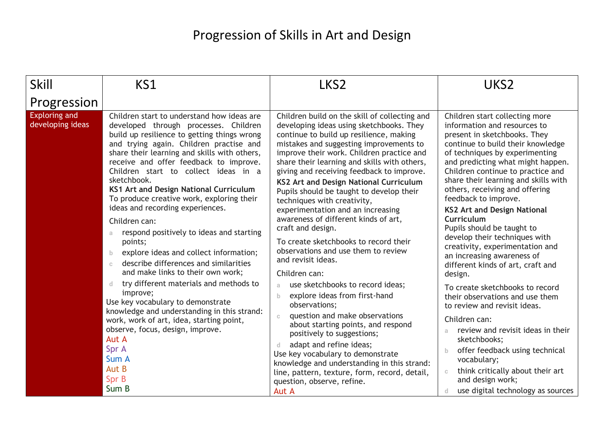## Progression of Skills in Art and Design

| Skill                                    | KS1                                                                                                                                                                                                                                                                                                                                                                                                                                                                                                                                                                                                                                                                                                                                                                                                                                                                                                                                                             | LKS <sub>2</sub>                                                                                                                                                                                                                                                                                                                                                                                                                                                                                                                                                                                                                                                                                                                                                                                                                                                                                                                                                                                                                                                                                           | UKS <sub>2</sub>                                                                                                                                                                                                                                                                                                                                                                                                                                                                                                                                                                                                                                                                                                                                                                                                                                                                                                   |
|------------------------------------------|-----------------------------------------------------------------------------------------------------------------------------------------------------------------------------------------------------------------------------------------------------------------------------------------------------------------------------------------------------------------------------------------------------------------------------------------------------------------------------------------------------------------------------------------------------------------------------------------------------------------------------------------------------------------------------------------------------------------------------------------------------------------------------------------------------------------------------------------------------------------------------------------------------------------------------------------------------------------|------------------------------------------------------------------------------------------------------------------------------------------------------------------------------------------------------------------------------------------------------------------------------------------------------------------------------------------------------------------------------------------------------------------------------------------------------------------------------------------------------------------------------------------------------------------------------------------------------------------------------------------------------------------------------------------------------------------------------------------------------------------------------------------------------------------------------------------------------------------------------------------------------------------------------------------------------------------------------------------------------------------------------------------------------------------------------------------------------------|--------------------------------------------------------------------------------------------------------------------------------------------------------------------------------------------------------------------------------------------------------------------------------------------------------------------------------------------------------------------------------------------------------------------------------------------------------------------------------------------------------------------------------------------------------------------------------------------------------------------------------------------------------------------------------------------------------------------------------------------------------------------------------------------------------------------------------------------------------------------------------------------------------------------|
| Progression                              |                                                                                                                                                                                                                                                                                                                                                                                                                                                                                                                                                                                                                                                                                                                                                                                                                                                                                                                                                                 |                                                                                                                                                                                                                                                                                                                                                                                                                                                                                                                                                                                                                                                                                                                                                                                                                                                                                                                                                                                                                                                                                                            |                                                                                                                                                                                                                                                                                                                                                                                                                                                                                                                                                                                                                                                                                                                                                                                                                                                                                                                    |
| <b>Exploring and</b><br>developing ideas | Children start to understand how ideas are<br>developed through processes. Children<br>build up resilience to getting things wrong<br>and trying again. Children practise and<br>share their learning and skills with others,<br>receive and offer feedback to improve.<br>Children start to collect ideas in a<br>sketchbook.<br>KS1 Art and Design National Curriculum<br>To produce creative work, exploring their<br>ideas and recording experiences.<br>Children can:<br>respond positively to ideas and starting<br>a<br>points;<br>explore ideas and collect information;<br>b<br>describe differences and similarities<br>$\mathbb{C}$<br>and make links to their own work;<br>try different materials and methods to<br>d<br>improve;<br>Use key vocabulary to demonstrate<br>knowledge and understanding in this strand:<br>work, work of art, idea, starting point,<br>observe, focus, design, improve.<br>Aut A<br>Spr A<br>Sum A<br>Aut B<br>Spr B | Children build on the skill of collecting and<br>developing ideas using sketchbooks. They<br>continue to build up resilience, making<br>mistakes and suggesting improvements to<br>improve their work. Children practice and<br>share their learning and skills with others,<br>giving and receiving feedback to improve.<br><b>KS2 Art and Design National Curriculum</b><br>Pupils should be taught to develop their<br>techniques with creativity,<br>experimentation and an increasing<br>awareness of different kinds of art,<br>craft and design.<br>To create sketchbooks to record their<br>observations and use them to review<br>and revisit ideas.<br>Children can:<br>use sketchbooks to record ideas;<br>a.<br>explore ideas from first-hand<br>b.<br>observations;<br>question and make observations<br>$\mathbb{C}$<br>about starting points, and respond<br>positively to suggestions;<br>adapt and refine ideas;<br>d.<br>Use key vocabulary to demonstrate<br>knowledge and understanding in this strand:<br>line, pattern, texture, form, record, detail,<br>question, observe, refine. | Children start collecting more<br>information and resources to<br>present in sketchbooks. They<br>continue to build their knowledge<br>of techniques by experimenting<br>and predicting what might happen.<br>Children continue to practice and<br>share their learning and skills with<br>others, receiving and offering<br>feedback to improve.<br><b>KS2 Art and Design National</b><br>Curriculum<br>Pupils should be taught to<br>develop their techniques with<br>creativity, experimentation and<br>an increasing awareness of<br>different kinds of art, craft and<br>design.<br>To create sketchbooks to record<br>their observations and use them<br>to review and revisit ideas.<br>Children can:<br>review and revisit ideas in their<br>a.<br>sketchbooks;<br>offer feedback using technical<br>$\mathbf{b}$<br>vocabulary;<br>think critically about their art<br>$\mathbb{C}^-$<br>and design work; |
|                                          | Sum B                                                                                                                                                                                                                                                                                                                                                                                                                                                                                                                                                                                                                                                                                                                                                                                                                                                                                                                                                           | Aut A                                                                                                                                                                                                                                                                                                                                                                                                                                                                                                                                                                                                                                                                                                                                                                                                                                                                                                                                                                                                                                                                                                      | use digital technology as sources                                                                                                                                                                                                                                                                                                                                                                                                                                                                                                                                                                                                                                                                                                                                                                                                                                                                                  |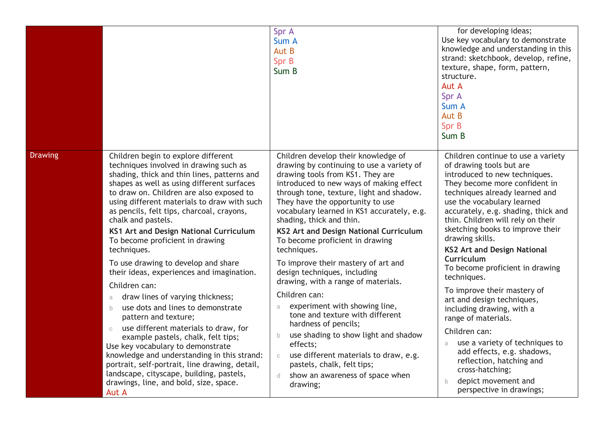|                |                                                                                                                                                                                                                                                                                                                                                                                                                                                                                                                          | Spr A<br>Sum A<br>Aut B<br>Spr B<br>Sum B                                                                                                                                                                                                                                                                                                                                                                                                                                                                                           | for developing ideas;<br>Use key vocabulary to demonstrate<br>knowledge and understanding in this<br>strand: sketchbook, develop, refine,<br>texture, shape, form, pattern,<br>structure.<br>Aut A<br>Spr A<br>Sum A<br>Aut B<br>Spr B<br>Sum B                                                                                                                                                                                           |
|----------------|--------------------------------------------------------------------------------------------------------------------------------------------------------------------------------------------------------------------------------------------------------------------------------------------------------------------------------------------------------------------------------------------------------------------------------------------------------------------------------------------------------------------------|-------------------------------------------------------------------------------------------------------------------------------------------------------------------------------------------------------------------------------------------------------------------------------------------------------------------------------------------------------------------------------------------------------------------------------------------------------------------------------------------------------------------------------------|-------------------------------------------------------------------------------------------------------------------------------------------------------------------------------------------------------------------------------------------------------------------------------------------------------------------------------------------------------------------------------------------------------------------------------------------|
| <b>Drawing</b> | Children begin to explore different<br>techniques involved in drawing such as<br>shading, thick and thin lines, patterns and<br>shapes as well as using different surfaces<br>to draw on. Children are also exposed to<br>using different materials to draw with such<br>as pencils, felt tips, charcoal, crayons,<br>chalk and pastels.<br>KS1 Art and Design National Curriculum<br>To become proficient in drawing<br>techniques.<br>To use drawing to develop and share<br>their ideas, experiences and imagination. | Children develop their knowledge of<br>drawing by continuing to use a variety of<br>drawing tools from KS1. They are<br>introduced to new ways of making effect<br>through tone, texture, light and shadow.<br>They have the opportunity to use<br>vocabulary learned in KS1 accurately, e.g.<br>shading, thick and thin.<br>KS2 Art and Design National Curriculum<br>To become proficient in drawing<br>techniques.<br>To improve their mastery of art and<br>design techniques, including<br>drawing, with a range of materials. | Children continue to use a variety<br>of drawing tools but are<br>introduced to new techniques.<br>They become more confident in<br>techniques already learned and<br>use the vocabulary learned<br>accurately, e.g. shading, thick and<br>thin. Children will rely on their<br>sketching books to improve their<br>drawing skills.<br><b>KS2 Art and Design National</b><br>Curriculum<br>To become proficient in drawing<br>techniques. |
|                | Children can:<br>draw lines of varying thickness;<br>a<br>use dots and lines to demonstrate<br>b.<br>pattern and texture;<br>use different materials to draw, for<br>$\mathbb{C}$<br>example pastels, chalk, felt tips;<br>Use key vocabulary to demonstrate<br>knowledge and understanding in this strand:<br>portrait, self-portrait, line drawing, detail,<br>landscape, cityscape, building, pastels,<br>drawings, line, and bold, size, space.<br>Aut A                                                             | Children can:<br>experiment with showing line,<br>a<br>tone and texture with different<br>hardness of pencils;<br>use shading to show light and shadow<br>b.<br>effects;<br>use different materials to draw, e.g.<br>$\mathbb{C}$<br>pastels, chalk, felt tips;<br>show an awareness of space when<br>$\mathbb{d}$<br>drawing;                                                                                                                                                                                                      | To improve their mastery of<br>art and design techniques,<br>including drawing, with a<br>range of materials.<br>Children can:<br>use a variety of techniques to<br>a.<br>add effects, e.g. shadows,<br>reflection, hatching and<br>cross-hatching;<br>depict movement and<br>b.<br>perspective in drawings;                                                                                                                              |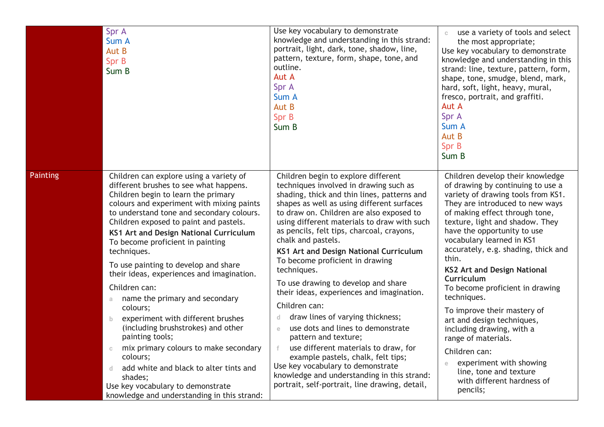|                 | Spr A<br>Sum A<br>Aut B<br>Spr B<br>Sum B                                                                                                                                                                                                                                                                                                                                                                                                                                                                                                                                                                                                                                                                                                                                                                                 | Use key vocabulary to demonstrate<br>knowledge and understanding in this strand:<br>portrait, light, dark, tone, shadow, line,<br>pattern, texture, form, shape, tone, and<br>outline.<br>Aut A<br>Spr A<br>Sum A<br>Aut B<br>Spr B<br>Sum B                                                                                                                                                                                                                                                                                                                                                                                                                                                                                                                                                                                                                                       | use a variety of tools and select<br>$\mathbb{C}$<br>the most appropriate;<br>Use key vocabulary to demonstrate<br>knowledge and understanding in this<br>strand: line, texture, pattern, form,<br>shape, tone, smudge, blend, mark,<br>hard, soft, light, heavy, mural,<br>fresco, portrait, and graffiti.<br>Aut A<br>Spr A<br>Sum A<br>Aut B<br>Spr B<br>Sum B                                                                                                                                                                                                                                                                                                      |
|-----------------|---------------------------------------------------------------------------------------------------------------------------------------------------------------------------------------------------------------------------------------------------------------------------------------------------------------------------------------------------------------------------------------------------------------------------------------------------------------------------------------------------------------------------------------------------------------------------------------------------------------------------------------------------------------------------------------------------------------------------------------------------------------------------------------------------------------------------|------------------------------------------------------------------------------------------------------------------------------------------------------------------------------------------------------------------------------------------------------------------------------------------------------------------------------------------------------------------------------------------------------------------------------------------------------------------------------------------------------------------------------------------------------------------------------------------------------------------------------------------------------------------------------------------------------------------------------------------------------------------------------------------------------------------------------------------------------------------------------------|------------------------------------------------------------------------------------------------------------------------------------------------------------------------------------------------------------------------------------------------------------------------------------------------------------------------------------------------------------------------------------------------------------------------------------------------------------------------------------------------------------------------------------------------------------------------------------------------------------------------------------------------------------------------|
| <b>Painting</b> | Children can explore using a variety of<br>different brushes to see what happens.<br>Children begin to learn the primary<br>colours and experiment with mixing paints<br>to understand tone and secondary colours.<br>Children exposed to paint and pastels.<br>KS1 Art and Design National Curriculum<br>To become proficient in painting<br>techniques.<br>To use painting to develop and share<br>their ideas, experiences and imagination.<br>Children can:<br>name the primary and secondary<br>a<br>colours;<br>experiment with different brushes<br>b<br>(including brushstrokes) and other<br>painting tools;<br>mix primary colours to make secondary<br>colours;<br>add white and black to alter tints and<br>d.<br>shades;<br>Use key vocabulary to demonstrate<br>knowledge and understanding in this strand: | Children begin to explore different<br>techniques involved in drawing such as<br>shading, thick and thin lines, patterns and<br>shapes as well as using different surfaces<br>to draw on. Children are also exposed to<br>using different materials to draw with such<br>as pencils, felt tips, charcoal, crayons,<br>chalk and pastels.<br>KS1 Art and Design National Curriculum<br>To become proficient in drawing<br>techniques.<br>To use drawing to develop and share<br>their ideas, experiences and imagination.<br>Children can:<br>draw lines of varying thickness;<br>d.<br>use dots and lines to demonstrate<br>$\epsilon$<br>pattern and texture;<br>use different materials to draw, for<br>example pastels, chalk, felt tips;<br>Use key vocabulary to demonstrate<br>knowledge and understanding in this strand:<br>portrait, self-portrait, line drawing, detail, | Children develop their knowledge<br>of drawing by continuing to use a<br>variety of drawing tools from KS1.<br>They are introduced to new ways<br>of making effect through tone,<br>texture, light and shadow. They<br>have the opportunity to use<br>vocabulary learned in KS1<br>accurately, e.g. shading, thick and<br>thin.<br><b>KS2 Art and Design National</b><br>Curriculum<br>To become proficient in drawing<br>techniques.<br>To improve their mastery of<br>art and design techniques,<br>including drawing, with a<br>range of materials.<br>Children can:<br>experiment with showing<br>line, tone and texture<br>with different hardness of<br>pencils; |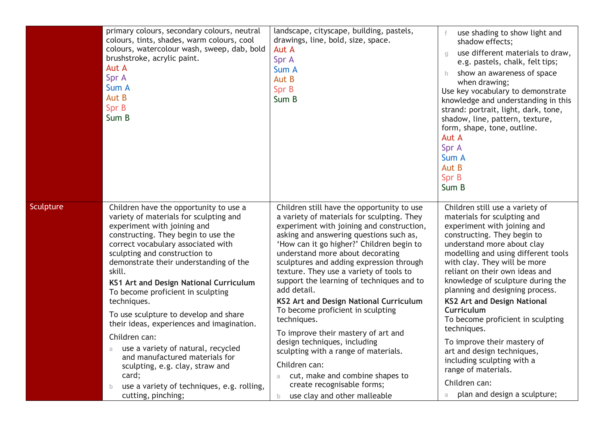|           | primary colours, secondary colours, neutral<br>colours, tints, shades, warm colours, cool<br>colours, watercolour wash, sweep, dab, bold<br>brushstroke, acrylic paint.<br>Aut A<br>Spr A<br>Sum A<br>Aut B<br>Spr B<br>Sum B                                                                                                                                                                                                                                                                                                                                                                                                                                                                  | landscape, cityscape, building, pastels,<br>drawings, line, bold, size, space.<br>Aut A<br>Spr A<br>Sum A<br>Aut B<br>Spr B<br>Sum B                                                                                                                                                                                                                                                                                                                                                                                                                                                                                                                                                                                                                           | use shading to show light and<br>shadow effects;<br>use different materials to draw,<br>$\alpha$<br>e.g. pastels, chalk, felt tips;<br>show an awareness of space<br>h.<br>when drawing;<br>Use key vocabulary to demonstrate<br>knowledge and understanding in this<br>strand: portrait, light, dark, tone,<br>shadow, line, pattern, texture,<br>form, shape, tone, outline.<br>Aut A<br>Spr A<br>Sum A<br>Aut B<br>Spr B<br>Sum B                                                                                                                                                                                   |
|-----------|------------------------------------------------------------------------------------------------------------------------------------------------------------------------------------------------------------------------------------------------------------------------------------------------------------------------------------------------------------------------------------------------------------------------------------------------------------------------------------------------------------------------------------------------------------------------------------------------------------------------------------------------------------------------------------------------|----------------------------------------------------------------------------------------------------------------------------------------------------------------------------------------------------------------------------------------------------------------------------------------------------------------------------------------------------------------------------------------------------------------------------------------------------------------------------------------------------------------------------------------------------------------------------------------------------------------------------------------------------------------------------------------------------------------------------------------------------------------|------------------------------------------------------------------------------------------------------------------------------------------------------------------------------------------------------------------------------------------------------------------------------------------------------------------------------------------------------------------------------------------------------------------------------------------------------------------------------------------------------------------------------------------------------------------------------------------------------------------------|
| Sculpture | Children have the opportunity to use a<br>variety of materials for sculpting and<br>experiment with joining and<br>constructing. They begin to use the<br>correct vocabulary associated with<br>sculpting and construction to<br>demonstrate their understanding of the<br>skill.<br>KS1 Art and Design National Curriculum<br>To become proficient in sculpting<br>techniques.<br>To use sculpture to develop and share<br>their ideas, experiences and imagination.<br>Children can:<br>use a variety of natural, recycled<br>and manufactured materials for<br>sculpting, e.g. clay, straw and<br>card;<br>use a variety of techniques, e.g. rolling,<br>$\mathbf{b}$<br>cutting, pinching; | Children still have the opportunity to use<br>a variety of materials for sculpting. They<br>experiment with joining and construction,<br>asking and answering questions such as,<br>'How can it go higher?' Children begin to<br>understand more about decorating<br>sculptures and adding expression through<br>texture. They use a variety of tools to<br>support the learning of techniques and to<br>add detail.<br>KS2 Art and Design National Curriculum<br>To become proficient in sculpting<br>techniques.<br>To improve their mastery of art and<br>design techniques, including<br>sculpting with a range of materials.<br>Children can:<br>cut, make and combine shapes to<br>a<br>create recognisable forms;<br>use clay and other malleable<br>b. | Children still use a variety of<br>materials for sculpting and<br>experiment with joining and<br>constructing. They begin to<br>understand more about clay<br>modelling and using different tools<br>with clay. They will be more<br>reliant on their own ideas and<br>knowledge of sculpture during the<br>planning and designing process.<br><b>KS2 Art and Design National</b><br>Curriculum<br>To become proficient in sculpting<br>techniques.<br>To improve their mastery of<br>art and design techniques,<br>including sculpting with a<br>range of materials.<br>Children can:<br>plan and design a sculpture; |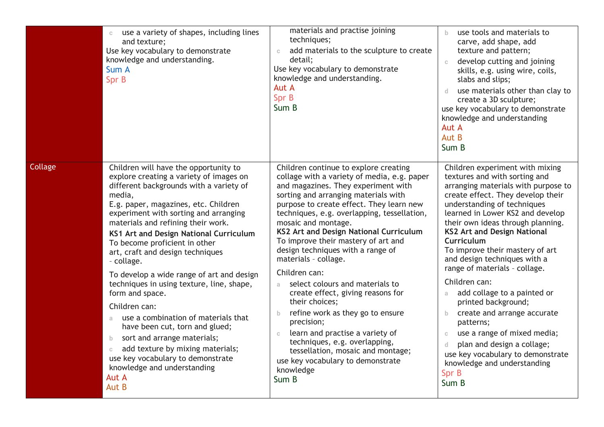|         | use a variety of shapes, including lines<br>and texture;<br>Use key vocabulary to demonstrate<br>knowledge and understanding.<br>Sum A<br>Spr B                                                                                                                                                                                                                                                                                                                                                                                                                                                                                                                                                                                                                           | materials and practise joining<br>techniques;<br>add materials to the sculpture to create<br>$\mathbb C$<br>detail;<br>Use key vocabulary to demonstrate<br>knowledge and understanding.<br>Aut A<br>Spr B<br>Sum B                                                                                                                                                                                                                                                                                                                                                                                                                                                                                                                                                                                       | use tools and materials to<br>$\mathbf{b}$<br>carve, add shape, add<br>texture and pattern;<br>develop cutting and joining<br>$\mathbb{C}$<br>skills, e.g. using wire, coils,<br>slabs and slips;<br>use materials other than clay to<br>d.<br>create a 3D sculpture;<br>use key vocabulary to demonstrate<br>knowledge and understanding<br>Aut A<br>Aut B<br>Sum B                                                                                                                                                                                                                                                                                                                                                                    |
|---------|---------------------------------------------------------------------------------------------------------------------------------------------------------------------------------------------------------------------------------------------------------------------------------------------------------------------------------------------------------------------------------------------------------------------------------------------------------------------------------------------------------------------------------------------------------------------------------------------------------------------------------------------------------------------------------------------------------------------------------------------------------------------------|-----------------------------------------------------------------------------------------------------------------------------------------------------------------------------------------------------------------------------------------------------------------------------------------------------------------------------------------------------------------------------------------------------------------------------------------------------------------------------------------------------------------------------------------------------------------------------------------------------------------------------------------------------------------------------------------------------------------------------------------------------------------------------------------------------------|-----------------------------------------------------------------------------------------------------------------------------------------------------------------------------------------------------------------------------------------------------------------------------------------------------------------------------------------------------------------------------------------------------------------------------------------------------------------------------------------------------------------------------------------------------------------------------------------------------------------------------------------------------------------------------------------------------------------------------------------|
| Collage | Children will have the opportunity to<br>explore creating a variety of images on<br>different backgrounds with a variety of<br>media,<br>E.g. paper, magazines, etc. Children<br>experiment with sorting and arranging<br>materials and refining their work.<br>KS1 Art and Design National Curriculum<br>To become proficient in other<br>art, craft and design techniques<br>- collage.<br>To develop a wide range of art and design<br>techniques in using texture, line, shape,<br>form and space.<br>Children can:<br>use a combination of materials that<br>a<br>have been cut, torn and glued;<br>sort and arrange materials;<br>b<br>add texture by mixing materials;<br>$\mathbb C$<br>use key vocabulary to demonstrate<br>knowledge and understanding<br>Aut A | Children continue to explore creating<br>collage with a variety of media, e.g. paper<br>and magazines. They experiment with<br>sorting and arranging materials with<br>purpose to create effect. They learn new<br>techniques, e.g. overlapping, tessellation,<br>mosaic and montage.<br>KS2 Art and Design National Curriculum<br>To improve their mastery of art and<br>design techniques with a range of<br>materials - collage.<br>Children can:<br>select colours and materials to<br>a.<br>create effect, giving reasons for<br>their choices;<br>refine work as they go to ensure<br>$\mathbf{b}$<br>precision;<br>learn and practise a variety of<br>$\mathbb C$<br>techniques, e.g. overlapping,<br>tessellation, mosaic and montage;<br>use key vocabulary to demonstrate<br>knowledge<br>Sum B | Children experiment with mixing<br>textures and with sorting and<br>arranging materials with purpose to<br>create effect. They develop their<br>understanding of techniques<br>learned in Lower KS2 and develop<br>their own ideas through planning.<br><b>KS2 Art and Design National</b><br>Curriculum<br>To improve their mastery of art<br>and design techniques with a<br>range of materials - collage.<br>Children can:<br>add collage to a painted or<br>a<br>printed background;<br>create and arrange accurate<br>$\mathsf{b}$<br>patterns;<br>use a range of mixed media;<br>$\mathbb{C}$<br>plan and design a collage;<br>$\mathsf{d}$<br>use key vocabulary to demonstrate<br>knowledge and understanding<br>Spr B<br>Sum B |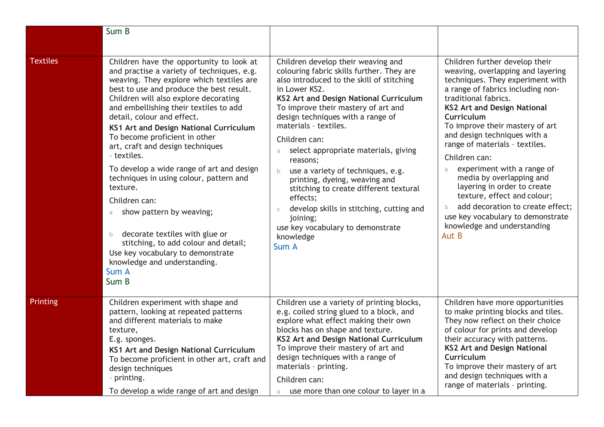|                 | Sum B                                                                                                                                                                                                                                                                                                                                                                                                                                                                                                                                                                                                                                                                                                                                                       |                                                                                                                                                                                                                                                                                                                                                                                                                                                                                                                                                                                                                                                      |                                                                                                                                                                                                                                                                                                                                                                                                                                                                                                                                                                                              |
|-----------------|-------------------------------------------------------------------------------------------------------------------------------------------------------------------------------------------------------------------------------------------------------------------------------------------------------------------------------------------------------------------------------------------------------------------------------------------------------------------------------------------------------------------------------------------------------------------------------------------------------------------------------------------------------------------------------------------------------------------------------------------------------------|------------------------------------------------------------------------------------------------------------------------------------------------------------------------------------------------------------------------------------------------------------------------------------------------------------------------------------------------------------------------------------------------------------------------------------------------------------------------------------------------------------------------------------------------------------------------------------------------------------------------------------------------------|----------------------------------------------------------------------------------------------------------------------------------------------------------------------------------------------------------------------------------------------------------------------------------------------------------------------------------------------------------------------------------------------------------------------------------------------------------------------------------------------------------------------------------------------------------------------------------------------|
|                 |                                                                                                                                                                                                                                                                                                                                                                                                                                                                                                                                                                                                                                                                                                                                                             |                                                                                                                                                                                                                                                                                                                                                                                                                                                                                                                                                                                                                                                      |                                                                                                                                                                                                                                                                                                                                                                                                                                                                                                                                                                                              |
| <b>Textiles</b> | Children have the opportunity to look at<br>and practise a variety of techniques, e.g.<br>weaving. They explore which textiles are<br>best to use and produce the best result.<br>Children will also explore decorating<br>and embellishing their textiles to add<br>detail, colour and effect.<br>KS1 Art and Design National Curriculum<br>To become proficient in other<br>art, craft and design techniques<br>- textiles.<br>To develop a wide range of art and design<br>techniques in using colour, pattern and<br>texture.<br>Children can:<br>show pattern by weaving;<br>a.<br>decorate textiles with glue or<br>b.<br>stitching, to add colour and detail;<br>Use key vocabulary to demonstrate<br>knowledge and understanding.<br>Sum A<br>Sum B | Children develop their weaving and<br>colouring fabric skills further. They are<br>also introduced to the skill of stitching<br>in Lower KS2.<br>KS2 Art and Design National Curriculum<br>To improve their mastery of art and<br>design techniques with a range of<br>materials - textiles.<br>Children can:<br>select appropriate materials, giving<br>a<br>reasons;<br>use a variety of techniques, e.g.<br>$\mathbf b$<br>printing, dyeing, weaving and<br>stitching to create different textural<br>effects;<br>develop skills in stitching, cutting and<br>$\mathbb{C}$<br>joining;<br>use key vocabulary to demonstrate<br>knowledge<br>Sum A | Children further develop their<br>weaving, overlapping and layering<br>techniques. They experiment with<br>a range of fabrics including non-<br>traditional fabrics.<br><b>KS2 Art and Design National</b><br>Curriculum<br>To improve their mastery of art<br>and design techniques with a<br>range of materials - textiles.<br>Children can:<br>experiment with a range of<br>media by overlapping and<br>layering in order to create<br>texture, effect and colour;<br>add decoration to create effect;<br>b<br>use key vocabulary to demonstrate<br>knowledge and understanding<br>Aut B |
| Printing        | Children experiment with shape and<br>pattern, looking at repeated patterns<br>and different materials to make<br>texture,<br>E.g. sponges.<br>KS1 Art and Design National Curriculum<br>To become proficient in other art, craft and<br>design techniques<br>- printing.<br>To develop a wide range of art and design                                                                                                                                                                                                                                                                                                                                                                                                                                      | Children use a variety of printing blocks,<br>e.g. coiled string glued to a block, and<br>explore what effect making their own<br>blocks has on shape and texture.<br>KS2 Art and Design National Curriculum<br>To improve their mastery of art and<br>design techniques with a range of<br>materials - printing.<br>Children can:<br>use more than one colour to layer in a<br>a.                                                                                                                                                                                                                                                                   | Children have more opportunities<br>to make printing blocks and tiles.<br>They now reflect on their choice<br>of colour for prints and develop<br>their accuracy with patterns.<br><b>KS2 Art and Design National</b><br>Curriculum<br>To improve their mastery of art<br>and design techniques with a<br>range of materials - printing.                                                                                                                                                                                                                                                     |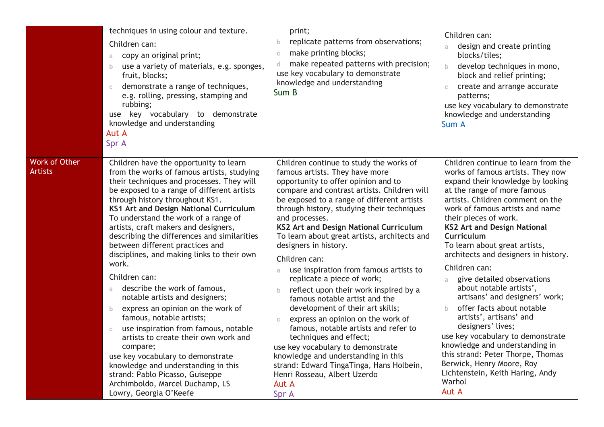|                                        | techniques in using colour and texture.<br>Children can:<br>copy an original print;<br>a<br>use a variety of materials, e.g. sponges,<br>b<br>fruit, blocks;<br>demonstrate a range of techniques,<br>$\mathbb{C}$<br>e.g. rolling, pressing, stamping and<br>rubbing;<br>use key vocabulary to demonstrate<br>knowledge and understanding<br>Aut A<br>Spr A                                                                                                                                                                                                                                                                                                                                                                                                                                                                                                                                                                                 | print;<br>replicate patterns from observations;<br>b.<br>make printing blocks;<br>$\mathbb C$<br>make repeated patterns with precision;<br>d.<br>use key vocabulary to demonstrate<br>knowledge and understanding<br>Sum B                                                                                                                                                                                                                                                                                                                                                                                                                                                                                                                                                                                                                                                                                                | Children can:<br>design and create printing<br>a.<br>blocks/tiles;<br>develop techniques in mono,<br>$\mathsf{b}$<br>block and relief printing;<br>create and arrange accurate<br>$\mathbb C$<br>patterns;<br>use key vocabulary to demonstrate<br>knowledge and understanding<br>Sum A                                                                                                                                                                                                                                                                                                                                                                                                                                                                                        |
|----------------------------------------|----------------------------------------------------------------------------------------------------------------------------------------------------------------------------------------------------------------------------------------------------------------------------------------------------------------------------------------------------------------------------------------------------------------------------------------------------------------------------------------------------------------------------------------------------------------------------------------------------------------------------------------------------------------------------------------------------------------------------------------------------------------------------------------------------------------------------------------------------------------------------------------------------------------------------------------------|---------------------------------------------------------------------------------------------------------------------------------------------------------------------------------------------------------------------------------------------------------------------------------------------------------------------------------------------------------------------------------------------------------------------------------------------------------------------------------------------------------------------------------------------------------------------------------------------------------------------------------------------------------------------------------------------------------------------------------------------------------------------------------------------------------------------------------------------------------------------------------------------------------------------------|--------------------------------------------------------------------------------------------------------------------------------------------------------------------------------------------------------------------------------------------------------------------------------------------------------------------------------------------------------------------------------------------------------------------------------------------------------------------------------------------------------------------------------------------------------------------------------------------------------------------------------------------------------------------------------------------------------------------------------------------------------------------------------|
| <b>Work of Other</b><br><b>Artists</b> | Children have the opportunity to learn<br>from the works of famous artists, studying<br>their techniques and processes. They will<br>be exposed to a range of different artists<br>through history throughout KS1.<br>KS1 Art and Design National Curriculum<br>To understand the work of a range of<br>artists, craft makers and designers,<br>describing the differences and similarities<br>between different practices and<br>disciplines, and making links to their own<br>work.<br>Children can:<br>describe the work of famous,<br>a.<br>notable artists and designers;<br>express an opinion on the work of<br>b.<br>famous, notable artists;<br>use inspiration from famous, notable<br>$\mathbb C$<br>artists to create their own work and<br>compare;<br>use key vocabulary to demonstrate<br>knowledge and understanding in this<br>strand: Pablo Picasso, Guiseppe<br>Archimboldo, Marcel Duchamp, LS<br>Lowry, Georgia O'Keefe | Children continue to study the works of<br>famous artists. They have more<br>opportunity to offer opinion and to<br>compare and contrast artists. Children will<br>be exposed to a range of different artists<br>through history, studying their techniques<br>and processes.<br><b>KS2 Art and Design National Curriculum</b><br>To learn about great artists, architects and<br>designers in history.<br>Children can:<br>use inspiration from famous artists to<br>a<br>replicate a piece of work;<br>reflect upon their work inspired by a<br>b.<br>famous notable artist and the<br>development of their art skills;<br>express an opinion on the work of<br>$\mathbb C$<br>famous, notable artists and refer to<br>techniques and effect;<br>use key vocabulary to demonstrate<br>knowledge and understanding in this<br>strand: Edward TingaTinga, Hans Holbein,<br>Henri Rosseau, Albert Uzerdo<br>Aut A<br>Spr A | Children continue to learn from the<br>works of famous artists. They now<br>expand their knowledge by looking<br>at the range of more famous<br>artists. Children comment on the<br>work of famous artists and name<br>their pieces of work.<br><b>KS2 Art and Design National</b><br>Curriculum<br>To learn about great artists,<br>architects and designers in history.<br>Children can:<br>give detailed observations<br>a.<br>about notable artists',<br>artisans' and designers' work;<br>offer facts about notable<br>b.<br>artists', artisans' and<br>designers' lives;<br>use key vocabulary to demonstrate<br>knowledge and understanding in<br>this strand: Peter Thorpe, Thomas<br>Berwick, Henry Moore, Roy<br>Lichtenstein, Keith Haring, Andy<br>Warhol<br>Aut A |